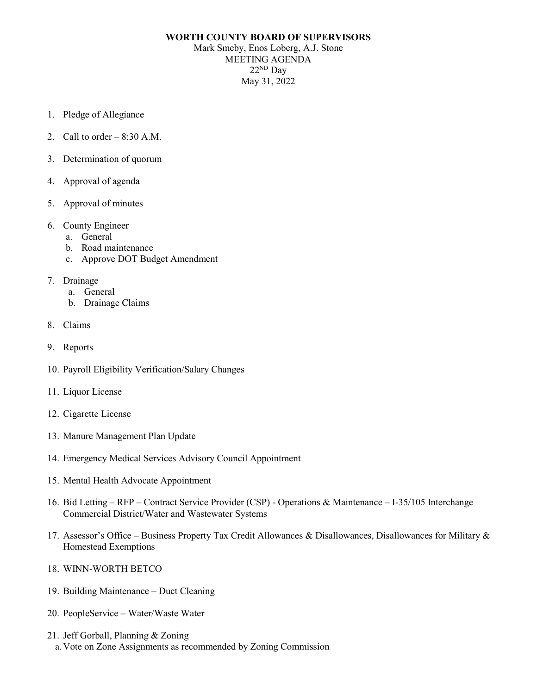## **WORTH COUNTY BOARD OF SUPERVISORS**

Mark Smeby, Enos Loberg, A.J. Stone MEETING AGENDA  $22<sup>ND</sup>$  Day May 31, 2022

- 1. Pledge of Allegiance
- 2. Call to order  $-8:30$  A.M.
- 3. Determination of quorum
- 4. Approval of agenda
- 5. Approval of minutes
- 6. County Engineer
	- a. General
	- b. Road maintenance
	- c. Approve DOT Budget Amendment
- 7. Drainage
	- a. General
	- b. Drainage Claims
- 8. Claims
- 9. Reports
- 10. Payroll Eligibility Verification/Salary Changes
- 11. Liquor License
- 12. Cigarette License
- 13. Manure Management Plan Update
- 14. Emergency Medical Services Advisory Council Appointment
- 15. Mental Health Advocate Appointment
- 16. Bid Letting RFP Contract Service Provider (CSP) Operations & Maintenance I-35/105 Interchange Commercial District/Water and Wastewater Systems
- 17. Assessor's Office Business Property Tax Credit Allowances & Disallowances, Disallowances for Military & Homestead Exemptions
- 18. WINN-WORTH BETCO
- 19. Building Maintenance Duct Cleaning
- 20. PeopleService Water/Waste Water
- 21. Jeff Gorball, Planning & Zoning a.Vote on Zone Assignments as recommended by Zoning Commission